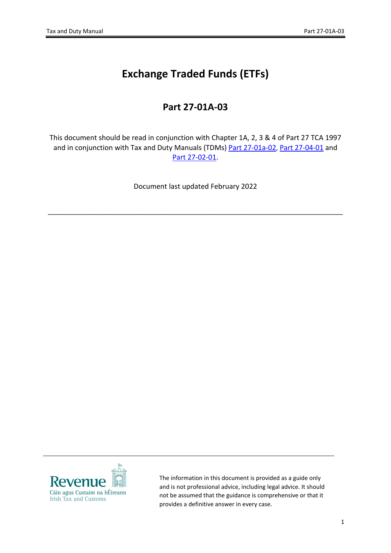## **Exchange Traded Funds (ETFs)**

## **Part 27-01A-03**

This document should be read in conjunction with Chapter 1A, 2, 3 & 4 of Part 27 TCA 1997 and in conjunction with Tax and Duty Manuals (TDMs) [Part](https://www.revenue.ie/en/tax-professionals/tdm/income-tax-capital-gains-tax-corporation-tax/part-27/27-01a-02.pdf) [27-01a-02](https://www.revenue.ie/en/tax-professionals/tdm/income-tax-capital-gains-tax-corporation-tax/part-27/27-01a-02.pdf), [Part](https://www.revenue.ie/en/tax-professionals/tdm/income-tax-capital-gains-tax-corporation-tax/part-27/27-04-01.pdf) [27-04-01](https://www.revenue.ie/en/tax-professionals/tdm/income-tax-capital-gains-tax-corporation-tax/part-27/27-04-01.pdf) and [Part](https://www.revenue.ie/en/tax-professionals/tdm/income-tax-capital-gains-tax-corporation-tax/part-27/27-02-01.pdf) [27-02-01](https://www.revenue.ie/en/tax-professionals/tdm/income-tax-capital-gains-tax-corporation-tax/part-27/27-02-01.pdf).

Document last updated February 2022

\_\_\_\_\_\_\_\_\_\_\_\_\_\_\_\_\_\_\_\_\_\_\_\_\_\_\_\_\_\_\_\_\_\_\_\_\_\_\_\_\_\_\_\_\_\_\_\_\_\_\_\_\_\_\_\_\_\_\_\_\_\_\_\_\_\_\_\_\_\_\_\_\_\_\_\_\_\_\_\_\_\_



The information in this document is provided as a guide only and is not professional advice, including legal advice. It should not be assumed that the guidance is comprehensive or that it provides a definitive answer in every case.